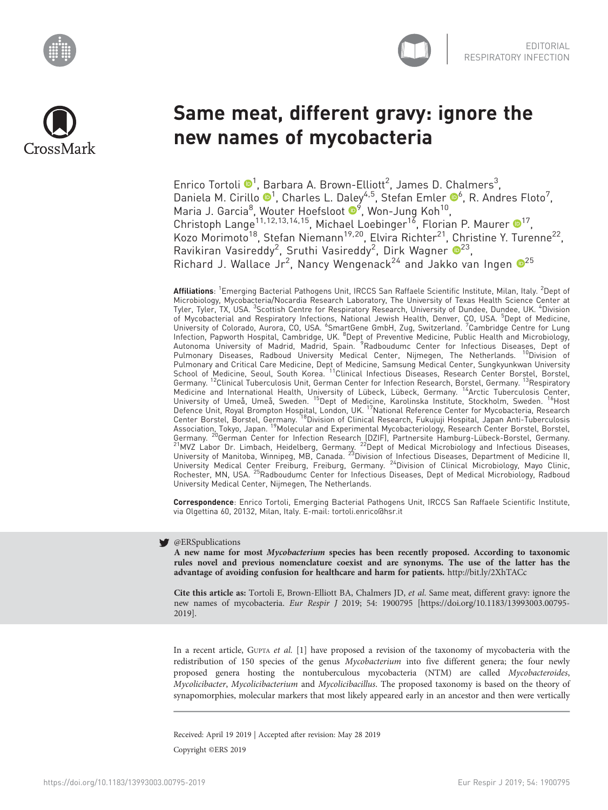





## Same meat, different gravy: ignore the new names of mycobacteria

Enrico Tortoli <sup>®1</sup>, Barbara A. Brown-Elliott<sup>2</sup>, James D. Chalmers<sup>3</sup>, Daniela M. Cirillo <sup>®[1](https://orcid.org/0000-0001-6415-1535)</sup>, Charles L. Daley<sup>4,5</sup>, Stefan Emler <sup>®6</sup>, R. Andres Floto<sup>7</sup>, Maria J. Garcia<sup>8</sup>, Wouter Hoefsloot <sup>®[9](https://orcid.org/0000-0003-1007-1075)</sup>, Won-Jung Koh<sup>10</sup>, Christoph Lange<sup>[1](https://orcid.org/0000-0001-8353-5964)1,12,13,14,15</sup>, Michael Loebinger<sup>18</sup>, Florian P. Maurer  $\mathbf{0}^{17}$ , Kozo Morimoto<sup>18</sup>, Stefan Niemann<sup>19,20</sup>, Elvira Richter<sup>21</sup>, Christine Y. Turenne<sup>22</sup>, Ravikiran Vasireddy<sup>[2](https://orcid.org/0000-0002-3271-5815)</sup>, Sruthi Vasireddy<sup>2</sup>, Dirk Wagner  $\mathbf{P}^{23}$ , Richard J. Wallace Jr<sup>2</sup>, Nancy Wengenack<sup>24</sup> and Jakko van Ingen <sup>15</sup>

**Affiliations**: <sup>1</sup>Emerging Bacterial Pathogens Unit, IRCCS San Raffaele Scientific Institute, Milan, Italy. <sup>2</sup>Dept of Microbiology, Mycobacteria/Nocardia Research Laboratory, The University of Texas Health Science Center at Tyler, Tyler, TX, USA. <sup>3</sup>Scottish Centre for Respiratory Research, University of Dundee, Dundee, UK. <sup>4</sup>Division of Mycobacterial and Respiratory Infections, National Jewish Health, Denver, CO, USA. <sup>5</sup>Dept of Medicine, University of Colorado, Aurora, CO, USA. <sup>6</sup>SmartGene GmbH, Zug, Switzerland. <sup>7</sup>Cambridge Centre for Lung Infection, Papworth Hospital, Cambridge, UK. <sup>8</sup>Dept of Preventive Medicine, Public Health and Microbiology, Autonoma University of Madrid, Madrid, Spain. <sup>9</sup>Radboudumc Center for Infectious Diseases, Dept of<br>Pulmonary Diseases, Radboud University Medical Center, Nijmegen, The Netherlands. <sup>10</sup>Division of Pulmonary and Critical Care Medicine, Dept of Medicine, Samsung Medical Center, Sungkyunkwan University<br>School of Medicine, Seoul, South Korea. <sup>11</sup>Clinical Infectious Diseases, Research Center Borstel, Borstel, Germany. <sup>12</sup>Clinical Tuberculosis Unit, German Center for Infection Research, Borstel, Germany. <sup>13</sup>Respiratory Medicine and International Health, University of Lübeck, Lübeck, Germany. <sup>14</sup>Arctic Tuberculosis Center, University of Umeå, Umeå, Sweden. <sup>15</sup>Dept of Medicine, Karolinska Institute, Stockholm, Sweden. <sup>16</sup>Host Defence Unit, Royal Brompton Hospital, London, UK. <sup>17</sup>National Reference Center for Mycobacteria, Research Center Borstel, Borstel, Germany. 18Division of Clinical Research, Fukujuji Hospital, Japan Anti-Tuberculosis Association, Tokyo, Japan. <sup>19</sup>Molecular and Experimental Mycobacteriology, Research Center Borstel, Borstel, Germany. <sup>20</sup>German Center for Infection Research (DZIF), Partnersite Hamburg-Lübeck-Borstel, Germany.<br><sup>21</sup>MVZ Labor Dr. Limbach, Heidelberg, Germany. <sup>22</sup>Dept of Medical Microbiology and Infectious Diseases, University of Manitoba, Winnipeg, MB, Canada. <sup>23</sup>Division of Infectious Diseases, Department of Medicine II, University Medical Center Freiburg, Freiburg, Germany. <sup>24</sup>Division of Clinical Microbiology, Mayo Clinic, Rochester, MN, USA. 25Radboudumc Center for Infectious Diseases, Dept of Medical Microbiology, Radboud University Medical Center, Nijmegen, The Netherlands.

Correspondence: Enrico Tortoli, Emerging Bacterial Pathogens Unit, IRCCS San Raffaele Scientific Institute, via Olgettina 60, 20132, Milan, Italy. E-mail: [tortoli.enrico@hsr.it](mailto:tortoli.enrico@hsr.it)

## **W** @ERSpublications

A new name for most Mycobacterium species has been recently proposed. According to taxonomic rules novel and previous nomenclature coexist and are synonyms. The use of the latter has the advantage of avoiding confusion for healthcare and harm for patients. <http://bit.ly/2XhTACc>

Cite this article as: Tortoli E, Brown-Elliott BA, Chalmers JD, et al. Same meat, different gravy: ignore the new names of mycobacteria. Eur Respir J 2019; 54: 1900795 [\[https://doi.org/10.1183/13993003.00795-](https://doi.org/10.1183/13993003.00795-2019) [2019\].](https://doi.org/10.1183/13993003.00795-2019)

In a recent article, GUPTA et al. [\[1\]](#page-2-0) have proposed a revision of the taxonomy of mycobacteria with the redistribution of 150 species of the genus Mycobacterium into five different genera; the four newly proposed genera hosting the nontuberculous mycobacteria (NTM) are called Mycobacteroides, Mycolicibacter, Mycolicibacterium and Mycolicibacillus. The proposed taxonomy is based on the theory of synapomorphies, molecular markers that most likely appeared early in an ancestor and then were vertically

Received: April 19 2019 | Accepted after revision: May 28 2019

Copyright ©ERS 2019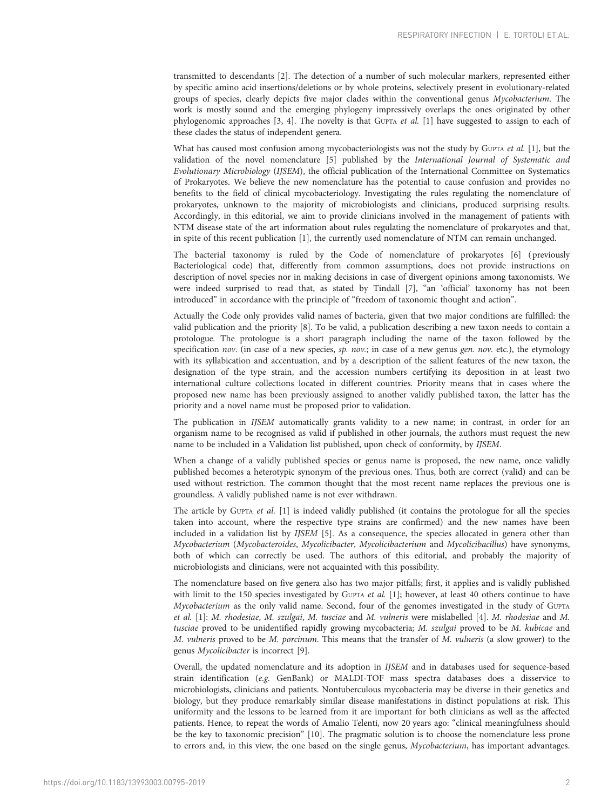transmitted to descendants [[2](#page-2-0)]. The detection of a number of such molecular markers, represented either by specific amino acid insertions/deletions or by whole proteins, selectively present in evolutionary-related groups of species, clearly depicts five major clades within the conventional genus Mycobacterium. The work is mostly sound and the emerging phylogeny impressively overlaps the ones originated by other phylogenomic approaches [\[3](#page-2-0), [4](#page-2-0)]. The novelty is that GUPTA et al. [\[1\]](#page-2-0) have suggested to assign to each of these clades the status of independent genera.

What has caused most confusion among mycobacteriologists was not the study by GUPTA et al. [\[1\]](#page-2-0), but the validation of the novel nomenclature [\[5\]](#page-2-0) published by the International Journal of Systematic and Evolutionary Microbiology (IJSEM), the official publication of the International Committee on Systematics of Prokaryotes. We believe the new nomenclature has the potential to cause confusion and provides no benefits to the field of clinical mycobacteriology. Investigating the rules regulating the nomenclature of prokaryotes, unknown to the majority of microbiologists and clinicians, produced surprising results. Accordingly, in this editorial, we aim to provide clinicians involved in the management of patients with NTM disease state of the art information about rules regulating the nomenclature of prokaryotes and that, in spite of this recent publication [[1](#page-2-0)], the currently used nomenclature of NTM can remain unchanged.

The bacterial taxonomy is ruled by the Code of nomenclature of prokaryotes [\[6\]](#page-2-0) ( previously Bacteriological code) that, differently from common assumptions, does not provide instructions on description of novel species nor in making decisions in case of divergent opinions among taxonomists. We were indeed surprised to read that, as stated by Tindall [\[7](#page-2-0)], "an 'official' taxonomy has not been introduced" in accordance with the principle of "freedom of taxonomic thought and action".

Actually the Code only provides valid names of bacteria, given that two major conditions are fulfilled: the valid publication and the priority [[8](#page-2-0)]. To be valid, a publication describing a new taxon needs to contain a protologue. The protologue is a short paragraph including the name of the taxon followed by the specification nov. (in case of a new species, sp. nov.; in case of a new genus gen. nov. etc.), the etymology with its syllabication and accentuation, and by a description of the salient features of the new taxon, the designation of the type strain, and the accession numbers certifying its deposition in at least two international culture collections located in different countries. Priority means that in cases where the proposed new name has been previously assigned to another validly published taxon, the latter has the priority and a novel name must be proposed prior to validation.

The publication in IJSEM automatically grants validity to a new name; in contrast, in order for an organism name to be recognised as valid if published in other journals, the authors must request the new name to be included in a Validation list published, upon check of conformity, by IJSEM.

When a change of a validly published species or genus name is proposed, the new name, once validly published becomes a heterotypic synonym of the previous ones. Thus, both are correct (valid) and can be used without restriction. The common thought that the most recent name replaces the previous one is groundless. A validly published name is not ever withdrawn.

The article by GUPTA et al. [[1\]](#page-2-0) is indeed validly published (it contains the protologue for all the species taken into account, where the respective type strains are confirmed) and the new names have been included in a validation list by IJSEM [\[5](#page-2-0)]. As a consequence, the species allocated in genera other than Mycobacterium (Mycobacteroides, Mycolicibacter, Mycolicibacterium and Mycolicibacillus) have synonyms, both of which can correctly be used. The authors of this editorial, and probably the majority of microbiologists and clinicians, were not acquainted with this possibility.

The nomenclature based on five genera also has two major pitfalls; first, it applies and is validly published with limit to the 150 species investigated by GUPTA et al. [\[1\]](#page-2-0); however, at least 40 others continue to have Mycobacterium as the only valid name. Second, four of the genomes investigated in the study of GUPTA et al. [\[1\]](#page-2-0): M. rhodesiae, M. szulgai, M. tusciae and M. vulneris were mislabelled [\[4\]](#page-2-0). M. rhodesiae and M. tusciae proved to be unidentified rapidly growing mycobacteria; M. szulgai proved to be M. kubicae and M. vulneris proved to be M. porcinum. This means that the transfer of M. vulneris (a slow grower) to the genus Mycolicibacter is incorrect [\[9](#page-2-0)].

Overall, the updated nomenclature and its adoption in IJSEM and in databases used for sequence-based strain identification (e.g. GenBank) or MALDI-TOF mass spectra databases does a disservice to microbiologists, clinicians and patients. Nontuberculous mycobacteria may be diverse in their genetics and biology, but they produce remarkably similar disease manifestations in distinct populations at risk. This uniformity and the lessons to be learned from it are important for both clinicians as well as the affected patients. Hence, to repeat the words of Amalio Telenti, now 20 years ago: "clinical meaningfulness should be the key to taxonomic precision" [\[10\]](#page-2-0). The pragmatic solution is to choose the nomenclature less prone to errors and, in this view, the one based on the single genus, Mycobacterium, has important advantages.